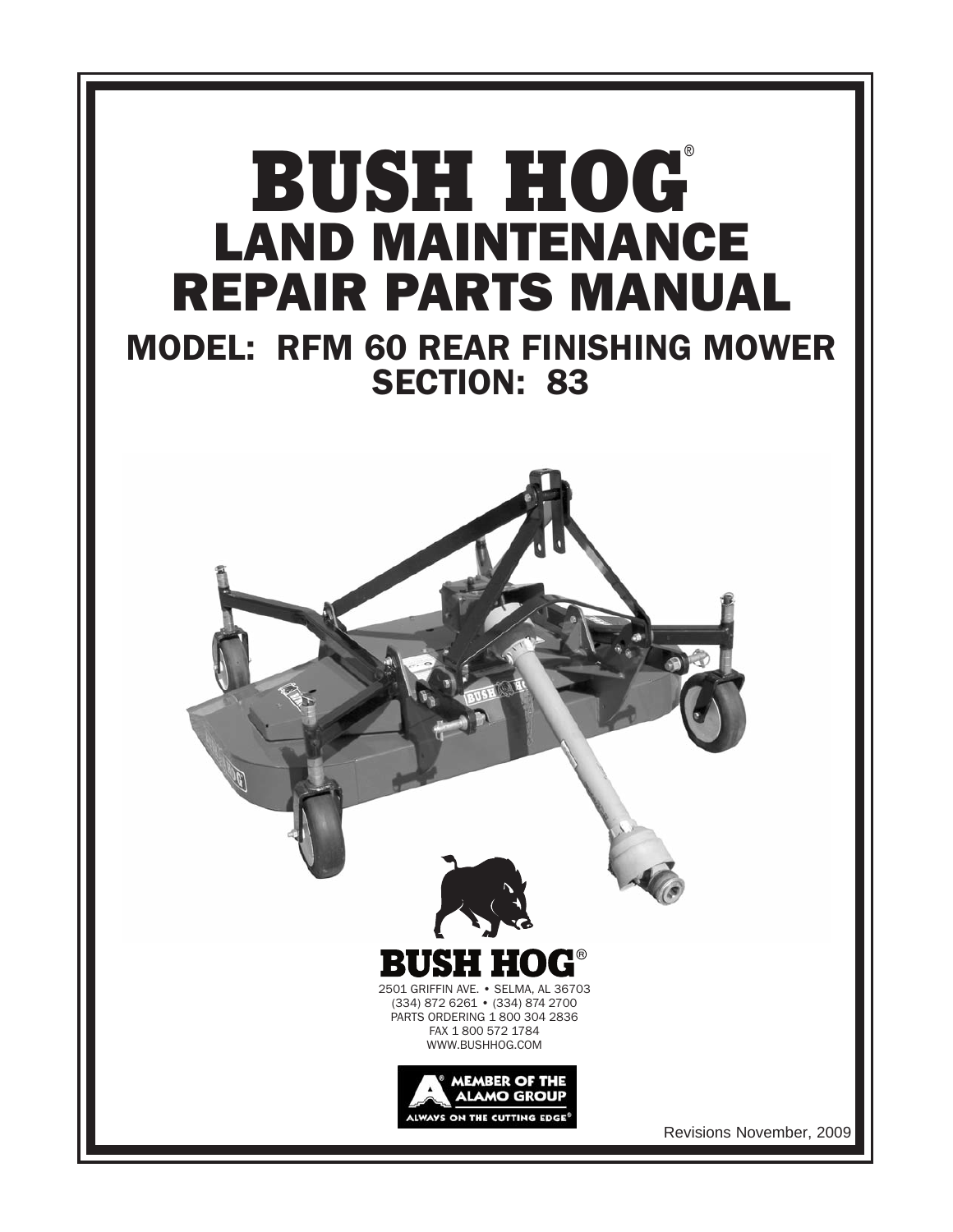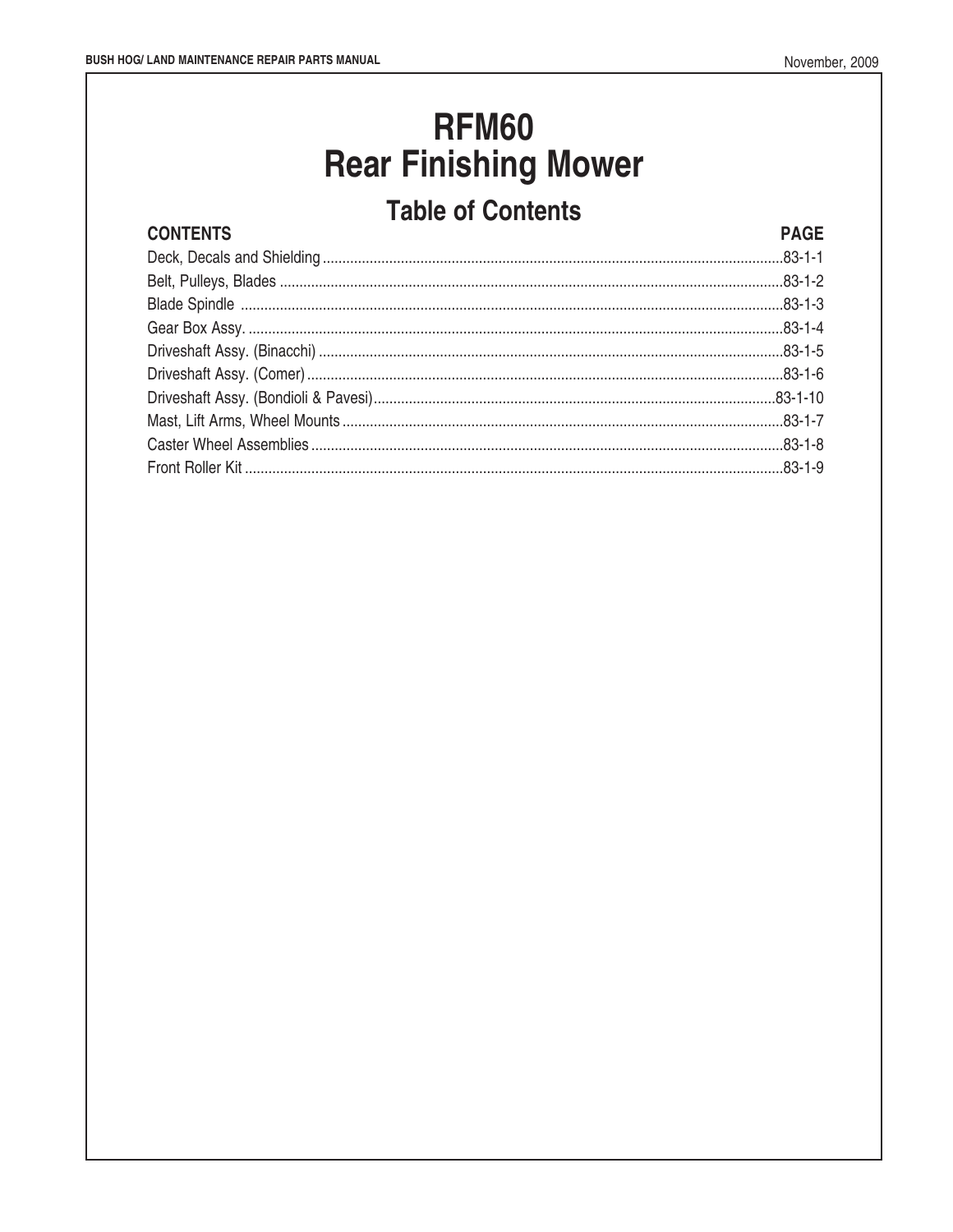# **RFM60 Rear Finishing Mower**

## **Table of Contents**

| <b>CONTENTS</b> | <b>PAGE</b> |
|-----------------|-------------|
|                 |             |
|                 |             |
|                 |             |
|                 |             |
|                 |             |
|                 |             |
|                 |             |
|                 |             |
|                 |             |
|                 |             |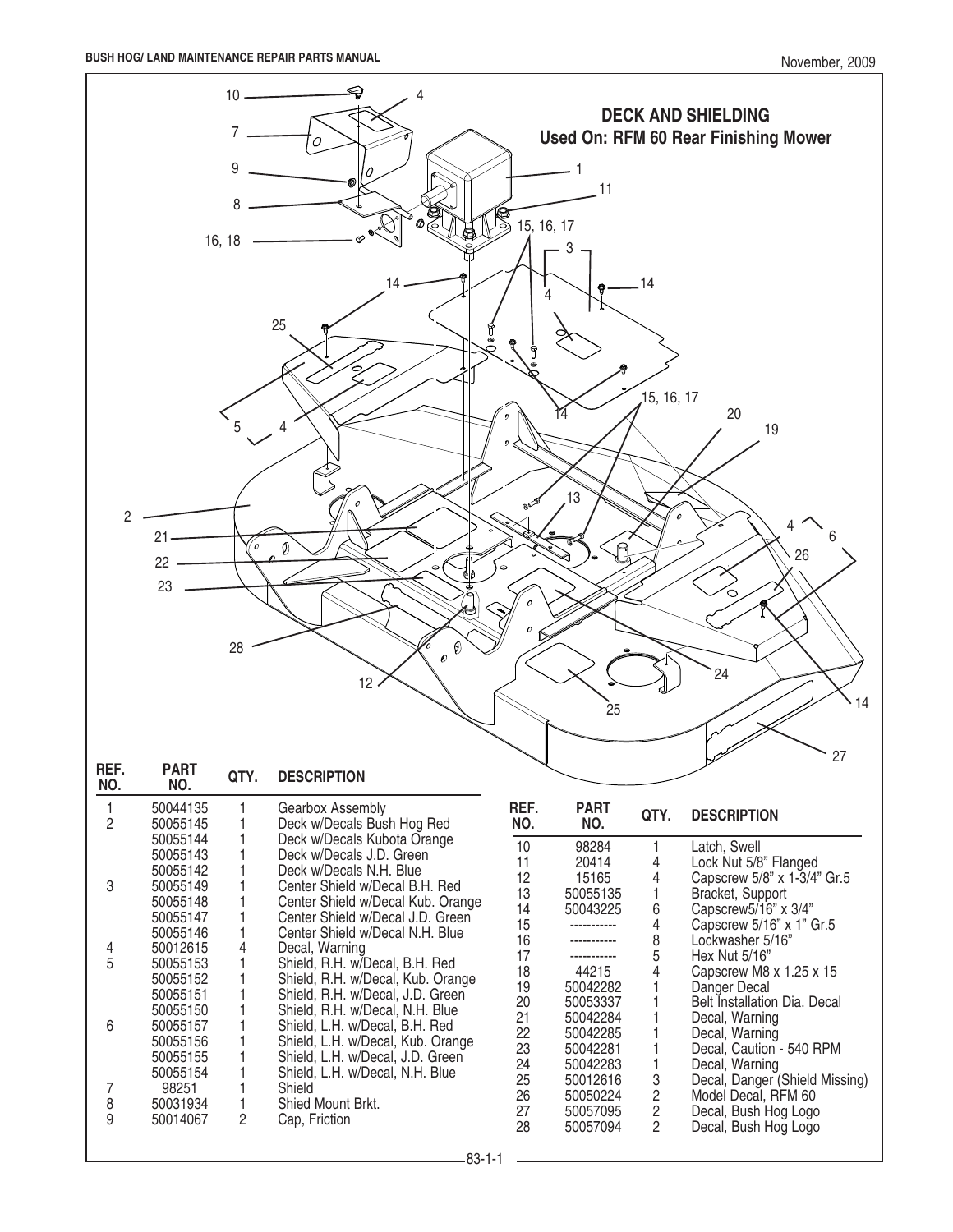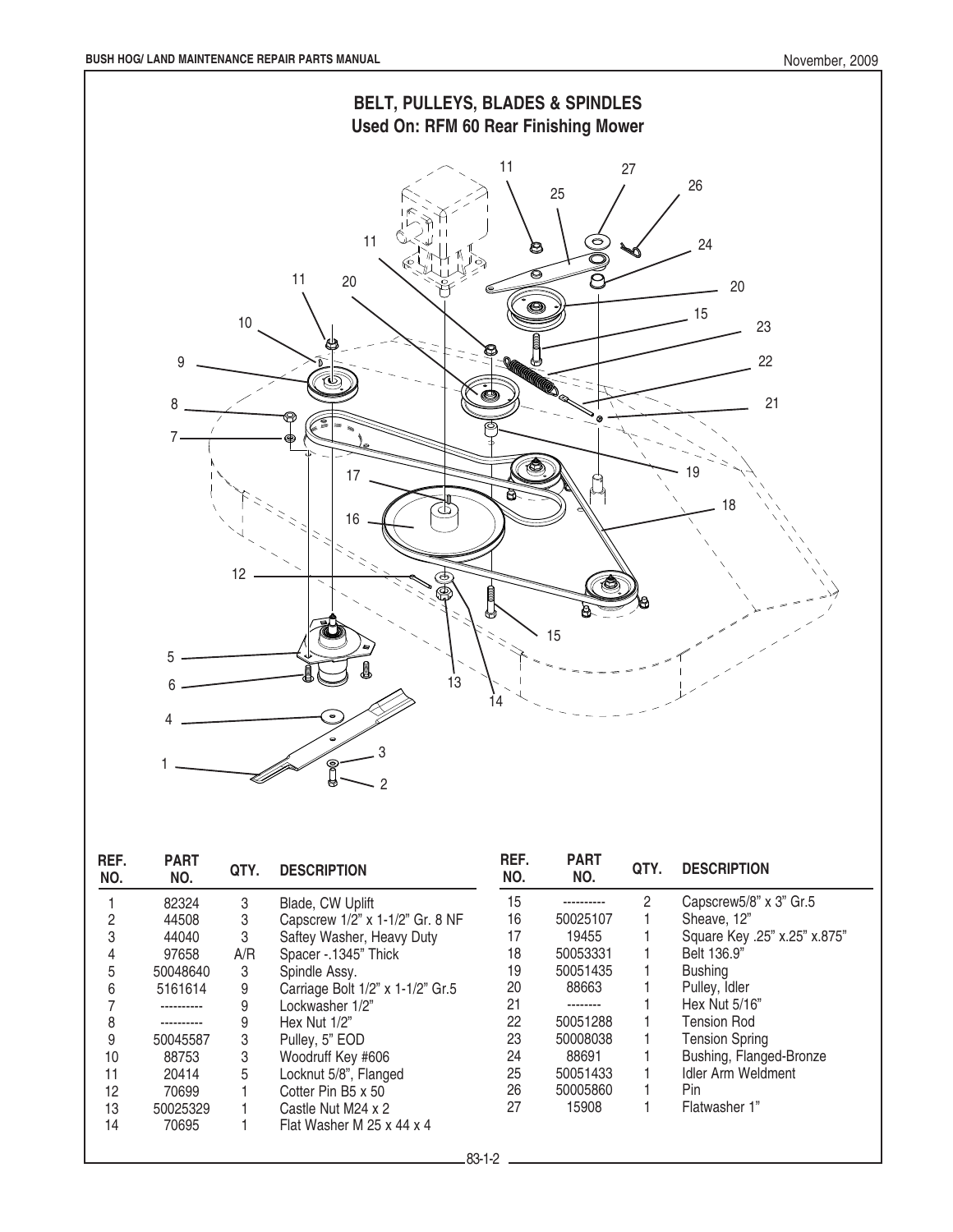

| .<br>NO. | .<br>NO.   | QTY. | <b>DESCRIPTION</b>               | NO. | .<br>NO.   | QTY. | <b>DESCRIPTION</b>           |
|----------|------------|------|----------------------------------|-----|------------|------|------------------------------|
|          | 82324      | 3    | Blade, CW Uplift                 | 15  | ---------- | 2    | Capscrew5/8" x 3" Gr.5       |
|          | 44508      | 3    | Capscrew 1/2" x 1-1/2" Gr. 8 NF  | 16  | 50025107   |      | Sheave, 12"                  |
|          | 44040      | 3    | Saftey Washer, Heavy Duty        | 17  | 19455      |      | Square Key .25" x.25" x.875" |
| 4        | 97658      | A/R  | Spacer -. 1345" Thick            | 18  | 50053331   |      | Belt 136.9"                  |
| 5        | 50048640   | 3    | Spindle Assy.                    | 19  | 50051435   |      | <b>Bushing</b>               |
| 6        | 5161614    | 9    | Carriage Bolt 1/2" x 1-1/2" Gr.5 | 20  | 88663      |      | Pulley, Idler                |
|          | ---------- | 9    | Lockwasher 1/2"                  | 21  | --------   |      | Hex Nut 5/16"                |
| 8        | ---------- | 9    | Hex Nut 1/2"                     | 22  | 50051288   |      | <b>Tension Rod</b>           |
| 9        | 50045587   | 3    | Pulley, 5" EOD                   | 23  | 50008038   |      | <b>Tension Spring</b>        |
| 10       | 88753      | 3    | Woodruff Key #606                | 24  | 88691      |      | Bushing, Flanged-Bronze      |
| 11       | 20414      | 5    | Locknut 5/8", Flanged            | 25  | 50051433   |      | <b>Idler Arm Weldment</b>    |
| 12       | 70699      |      | Cotter Pin B5 x 50               | 26  | 50005860   |      | Pin                          |
| 13       | 50025329   |      | Castle Nut M24 x 2               | 27  | 15908      |      | Flatwasher 1"                |
| 14       | 70695      |      | Flat Washer M 25 x 44 x 4        |     |            |      |                              |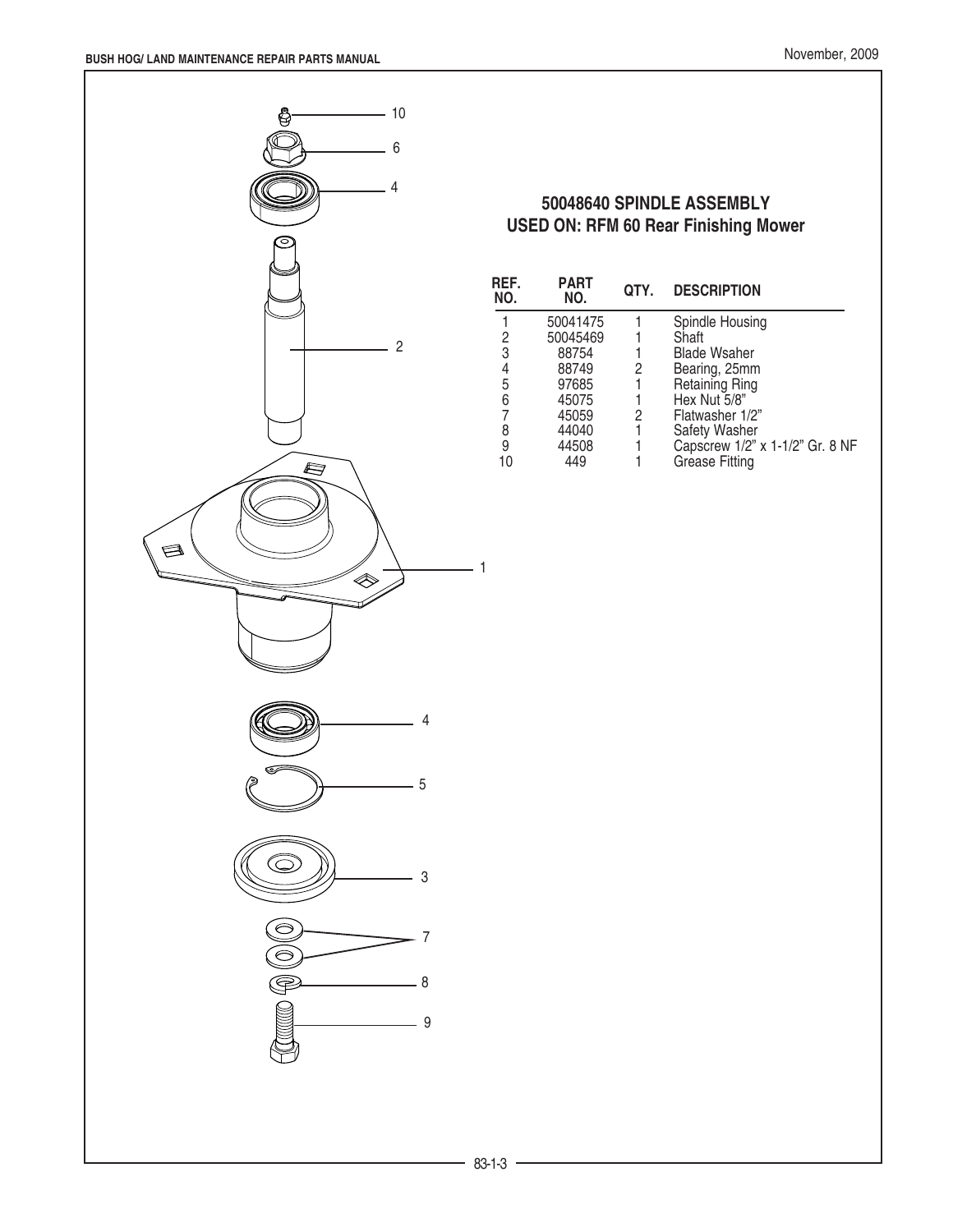

## **50048640 SPINDLE ASSEMBLY USED ON: RFM 60 Rear Finishing Mower**

| REF.<br>NO. | <b>PART</b><br>NO. | QTY. | <b>DESCRIPTION</b>              |
|-------------|--------------------|------|---------------------------------|
|             | 50041475           |      | Spindle Housing                 |
| 2           | 50045469           |      | Shaft                           |
| 3           | 88754              |      | <b>Blade Wsaher</b>             |
| 4           | 88749              | 2    | Bearing, 25mm                   |
| 5           | 97685              |      | Retaining Ring                  |
| 6           | 45075              |      | Hex Nut 5/8"                    |
| 7           | 45059              | 2    | Flatwasher 1/2"                 |
| 8           | 44040              |      | Safety Washer                   |
| 9           | 44508              |      | Capscrew 1/2" x 1-1/2" Gr. 8 NF |
|             | 449                |      | <b>Grease Fitting</b>           |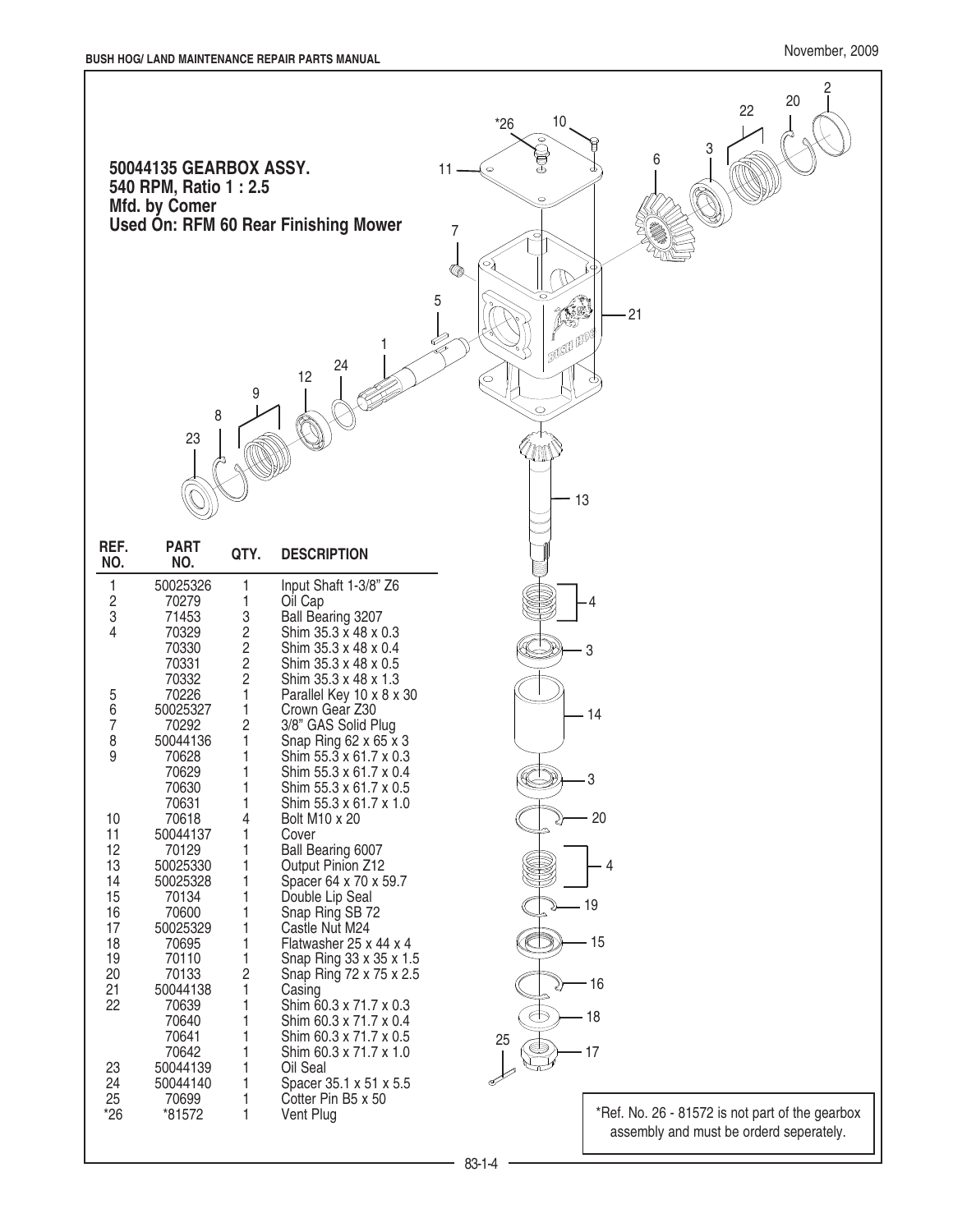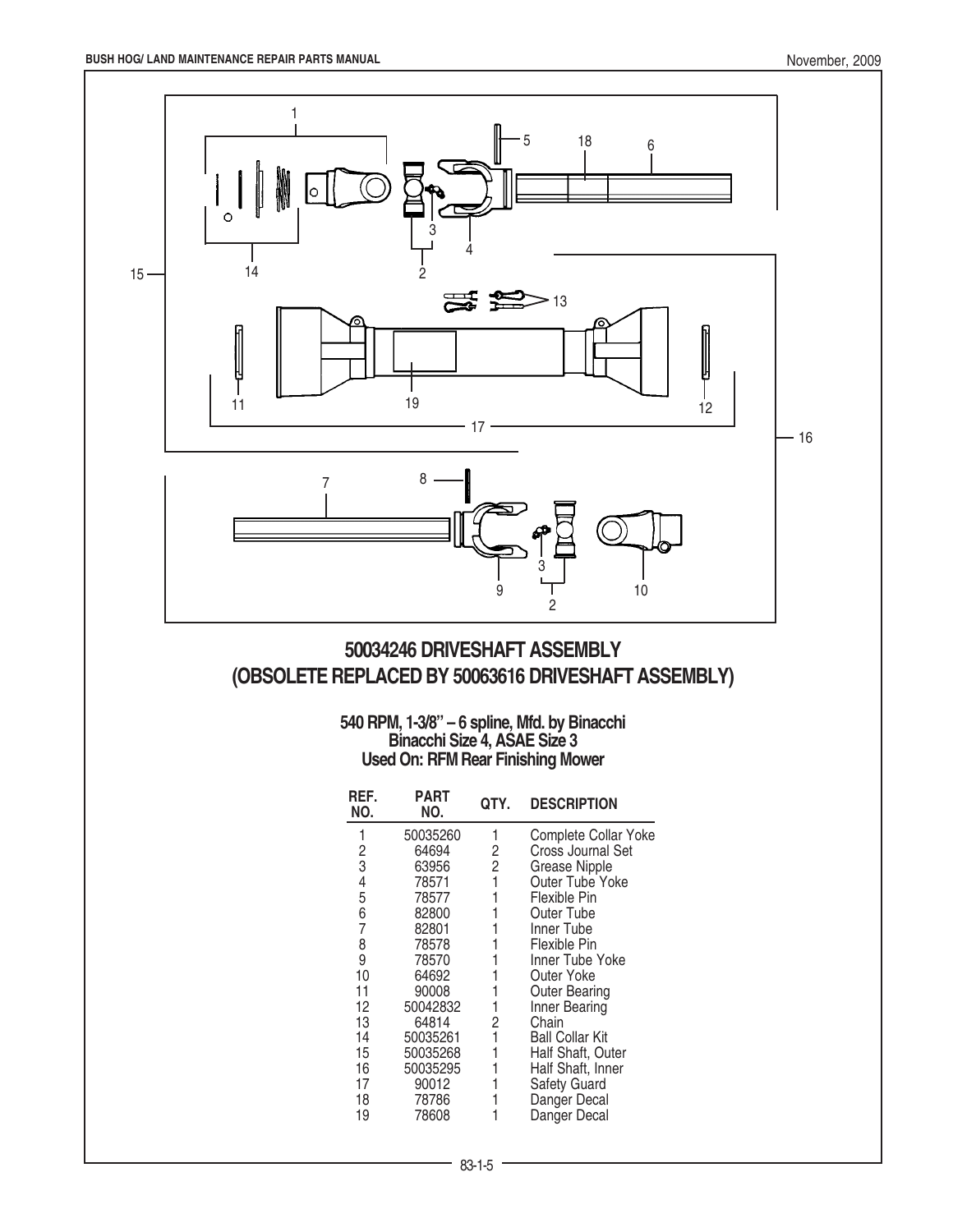

## **50034246 DRIVESHAFT ASSEMBLY (OBSOLETE REPLACED BY 50063616 DRIVESHAFT ASSEMBLY)**

#### **540 RPM, 1-3/8" – 6 spline, Mfd. by Binacchi Binacchi Size 4, ASAE Size 3 Used On: RFM Rear Finishing Mower**

| REF.<br>NO. | <b>PART</b><br>NO. | QTY. | <b>DESCRIPTION</b>     |
|-------------|--------------------|------|------------------------|
| 1           | 50035260           |      | Complete Collar Yoke   |
| 2           | 64694              | 2    | Cross Journal Set      |
| 3           | 63956              | 2    | <b>Grease Nipple</b>   |
| 4           | 78571              | 1    | Outer Tube Yoke        |
| 5           | 78577              |      | Flexible Pin           |
| 6           | 82800              |      | Outer Tube             |
| 7           | 82801              |      | Inner Tube             |
| 8           | 78578              |      | Flexible Pin           |
| 9           | 78570              |      | Inner Tube Yoke        |
| 10          | 64692              |      | Outer Yoke             |
| 11          | 90008              |      | <b>Outer Bearing</b>   |
| 12          | 50042832           | 1    | Inner Bearing          |
| 13          | 64814              | 2    | Chain                  |
| 14          | 50035261           | 1    | <b>Ball Collar Kit</b> |
| 15          | 50035268           |      | Half Shaft, Outer      |
| 16          | 50035295           |      | Half Shaft, Inner      |
| 17          | 90012              |      | Safety Guard           |
| 18          | 78786              |      | Danger Decal           |
| 19          | 78608              |      | Danger Decal           |
|             |                    |      |                        |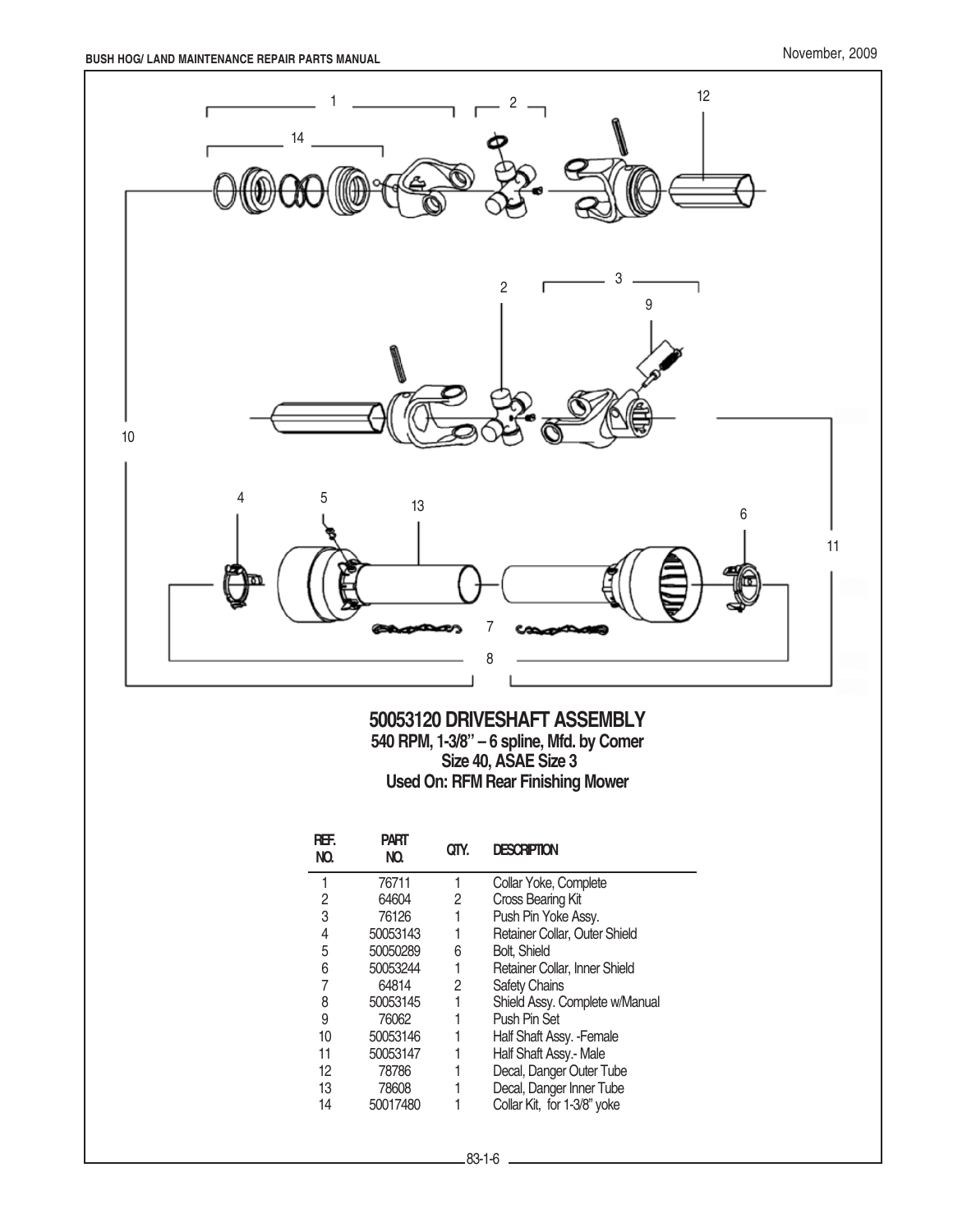

### **50053120 DRIVESHAFT ASSEMBLY 540 RPM, 1-3/8" – 6 spline, Mfd. by Comer Size 40, ASAE Size 3 Used On: RFM Rear Finishing Mower**

| RFF.<br>NO. | <b>PART</b><br>NO. | QTY. | <b>DESCRIPTION</b>             |
|-------------|--------------------|------|--------------------------------|
| 1           | 76711              | 1    | Collar Yoke, Complete          |
| 2           | 64604              | 2    | Cross Bearing Kit              |
| 3           | 76126              |      | Push Pin Yoke Assy.            |
| 4           | 50053143           |      | Retainer Collar, Outer Shield  |
| 5           | 50050289           | 6    | Bolt, Shield                   |
| 6           | 50053244           |      | Retainer Collar, Inner Shield  |
| 7           | 64814              | 2    | <b>Safety Chains</b>           |
| 8           | 50053145           |      | Shield Assy. Complete w/Manual |
| 9           | 76062              |      | Push Pin Set                   |
| 10          | 50053146           |      | Half Shaft Assy. - Female      |
| 11          | 50053147           |      | Half Shaft Assy.- Male         |
| 12          | 78786              |      | Decal, Danger Outer Tube       |
| 13          | 78608              |      | Decal, Danger Inner Tube       |
| 14          | 50017480           |      | Collar Kit, for 1-3/8" yoke    |
|             |                    |      |                                |

 $-83-1-6$   $-$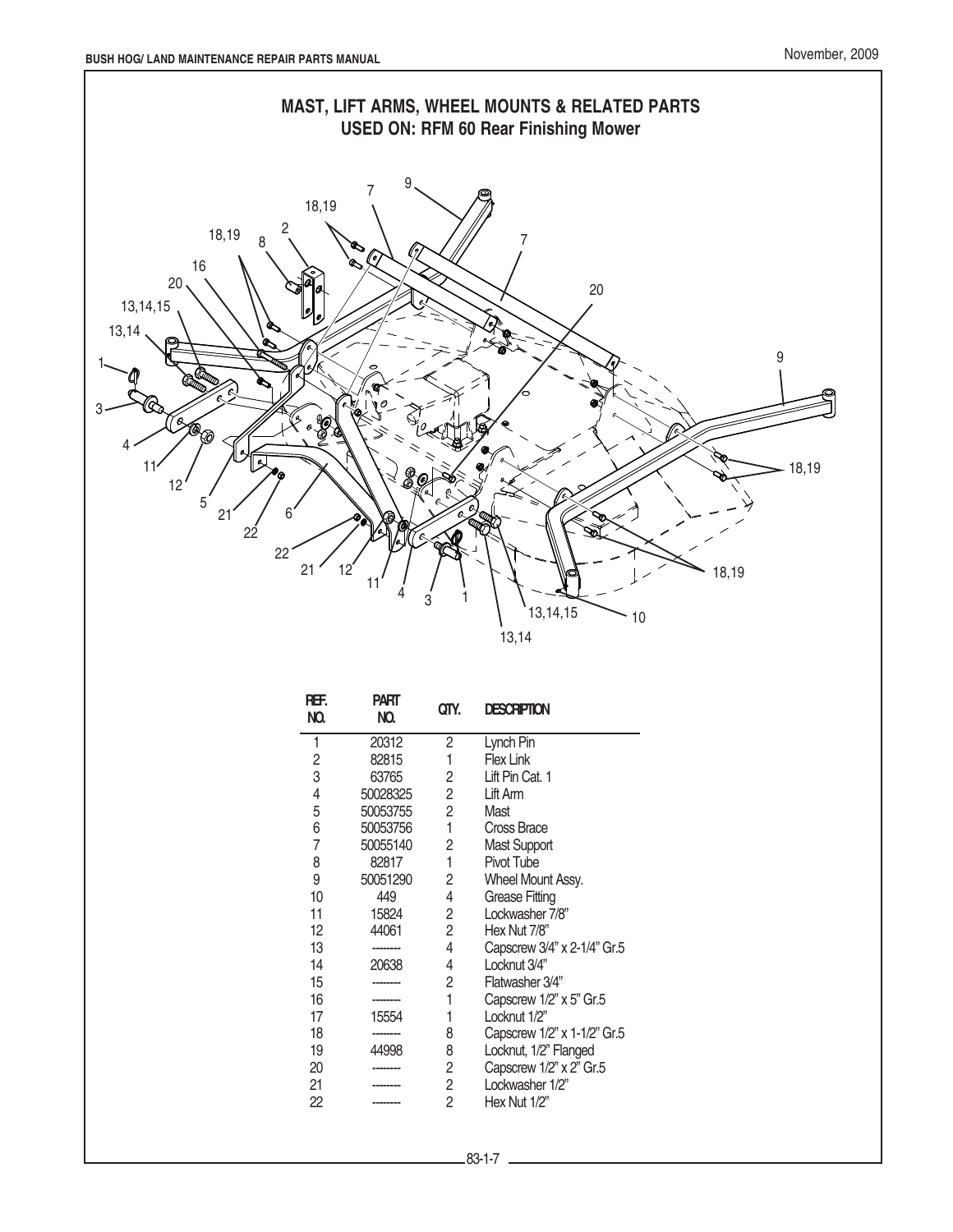

| REF.<br>NO. | <b>PART</b><br>NO. | QTY.           | <b>DESCRIPTION</b>          |
|-------------|--------------------|----------------|-----------------------------|
| 1           | 20312              | 2              | Lynch Pin                   |
| 2           | 82815              | 1              | <b>Flex Link</b>            |
| 3           | 63765              | 2              | Lift Pin Cat. 1             |
| 4           | 50028325           | $\overline{2}$ | Lift Arm                    |
| 5           | 50053755           | 2              | Mast                        |
| 6           | 50053756           | 1              | Cross Brace                 |
| 7           | 50055140           | 2              | <b>Mast Support</b>         |
| 8           | 82817              | 1              | Pivot Tube                  |
| 9           | 50051290           | 2              | Wheel Mount Assy.           |
| 10          | 449                | 4              | <b>Grease Fitting</b>       |
| 11          | 15824              | 2              | Lockwasher 7/8"             |
| 12          | 44061              | 2              | Hex Nut 7/8"                |
| 13          |                    | 4              | Capscrew 3/4" x 2-1/4" Gr.5 |
| 14          | 20638              | 4              | Locknut 3/4"                |
| 15          |                    | 2              | Flatwasher 3/4"             |
| 16          |                    | 1              | Capscrew 1/2" x 5" Gr.5     |
| 17          | 15554              | 1              | Locknut 1/2"                |
| 18          |                    | 8              | Capscrew 1/2" x 1-1/2" Gr.5 |
| 19          | 44998              | 8              | Locknut, 1/2" Flanged       |
| 20          |                    | 2              | Capscrew 1/2" x 2" Gr.5     |
| 21          |                    | $\overline{c}$ | Lockwasher 1/2"             |
| 22          |                    | $\overline{c}$ | Hex Nut 1/2"                |
|             |                    |                |                             |

 $-83-1-7$  —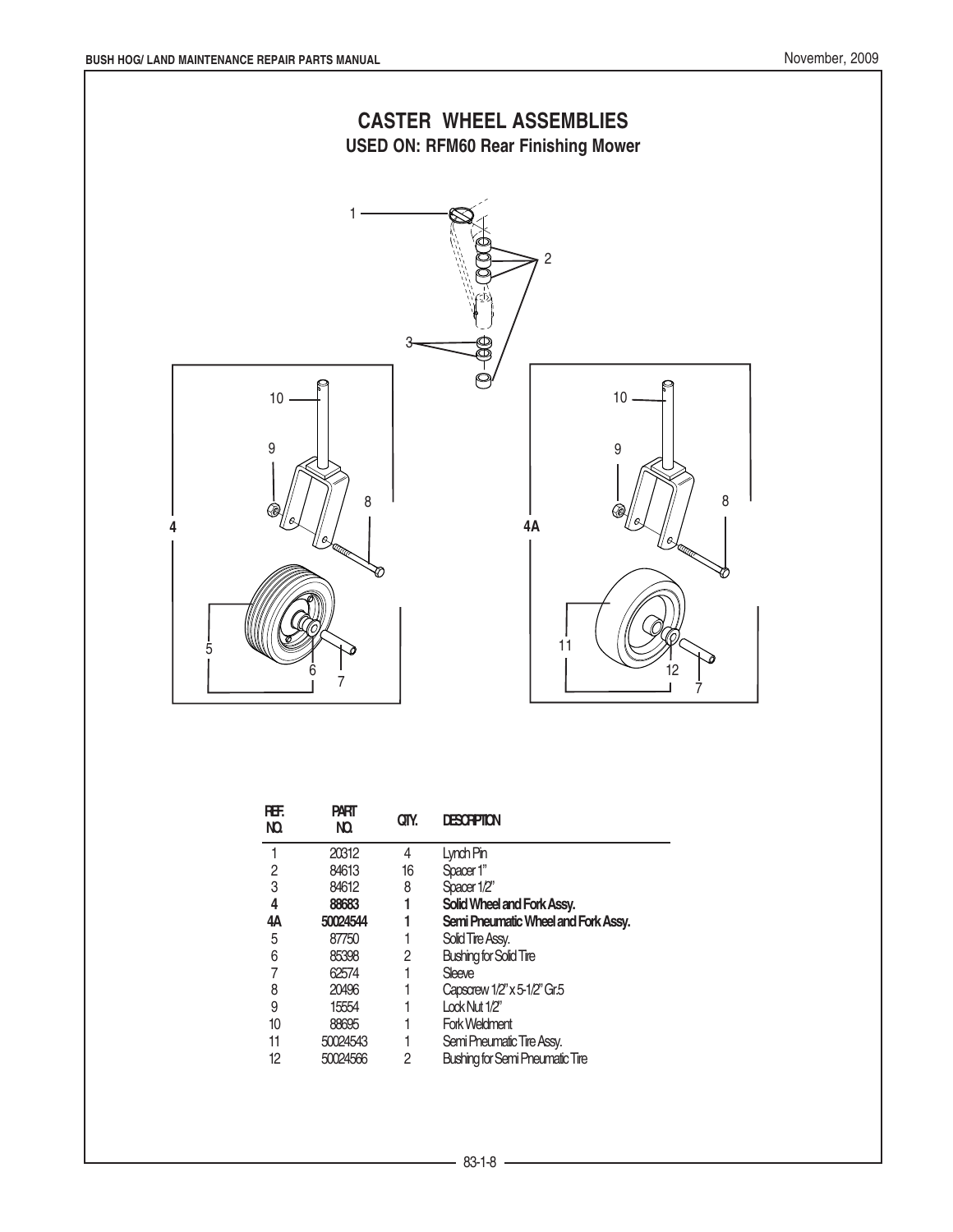

| RF.<br><b>NQ</b> | PART<br>NQ. | QTY. | <b>DESCRPTON</b>                       |
|------------------|-------------|------|----------------------------------------|
|                  | 20312       | 4    | Lynch Pin                              |
| 2                | 84613       | 16   | Spacer 1"                              |
| 3                | 84612       | 8    | Spacer 1/2"                            |
| 4                | 88683       |      | Solid Wheel and Fork Assy.             |
| 4А               | 50024544    |      | Semi Pneumatic Wheel and Fork Assy.    |
| 5                | 87750       |      | Solid Tire Assy.                       |
| 6                | 85398       | 2    | <b>Bushing for Solid Tire</b>          |
|                  | 62574       |      | <b>Sleeve</b>                          |
| 8                | 20496       |      | Capscrew 1/2" x 5-1/2" Gr.5            |
| 9                | 15554       |      | Lock Nut 1/2"                          |
| 10               | 88695       |      | <b>Fork Weldment</b>                   |
| 11               | 50024543    |      | Semi Pneumatic Tire Assy.              |
| 12               | 50024566    | 2    | <b>Bushing for Semi Pneumatic Tire</b> |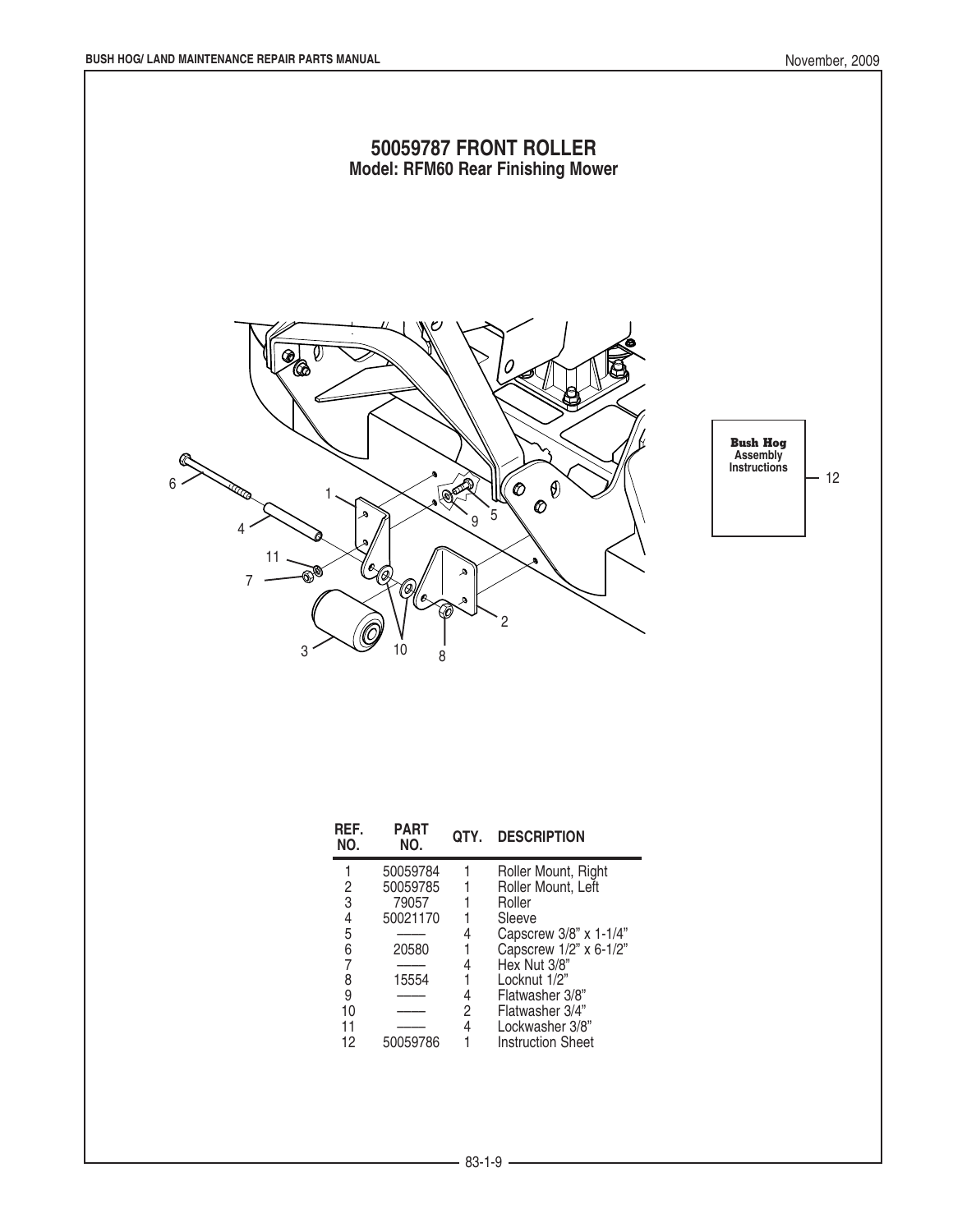

| PART<br>NO. | QTY.     | <b>DESCRIPTION</b>                        |
|-------------|----------|-------------------------------------------|
| 50059784    |          | Roller Mount, Right<br>Roller Mount, Left |
| 79057       |          | Roller                                    |
| 50021170    |          | Sleeve                                    |
|             |          | Capscrew 3/8" x 1-1/4"                    |
| 20580       |          | Capscrew 1/2" x 6-1/2"                    |
|             | 4        | Hex Nut 3/8"                              |
| 15554       |          | Locknut 1/2"                              |
|             | 4        | Flatwasher 3/8"                           |
|             | 2        | Flatwasher 3/4"                           |
|             | 4        | Lockwasher 3/8"                           |
| 50059786    |          | <b>Instruction Sheet</b>                  |
|             | 50059785 |                                           |

 $-83-1-9-$